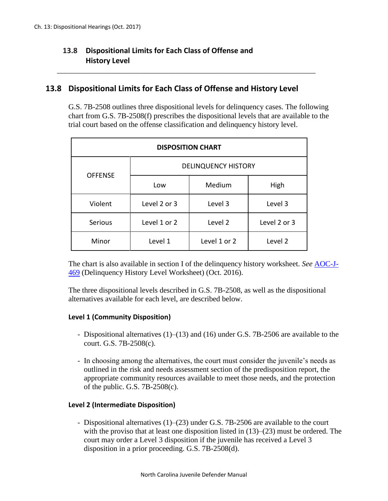# **13.8 Dispositional Limits for Each Class of Offense and History Level**

## **13.8 Dispositional Limits for Each Class of Offense and History Level**

\_\_\_\_\_\_\_\_\_\_\_\_\_\_\_\_\_\_\_\_\_\_\_\_\_\_\_\_\_\_\_\_\_\_\_\_\_\_\_\_\_\_\_\_\_\_\_\_\_\_\_\_\_\_\_\_\_\_\_\_\_\_\_\_\_\_\_\_

G.S. 7B-2508 outlines three dispositional levels for delinquency cases. The following chart from G.S. 7B-2508(f) prescribes the dispositional levels that are available to the trial court based on the offense classification and delinquency history level.

| <b>DISPOSITION CHART</b> |                            |              |              |
|--------------------------|----------------------------|--------------|--------------|
| <b>OFFENSE</b>           | <b>DELINQUENCY HISTORY</b> |              |              |
|                          | Low                        | Medium       | High         |
| Violent                  | Level 2 or 3               | Level 3      | Level 3      |
| Serious                  | Level 1 or 2               | Level 2      | Level 2 or 3 |
| Minor                    | Level 1                    | Level 1 or 2 | Level 2      |

The chart is also available in section I of the delinquency history worksheet. *See* [AOC-J-](http://www.nccourts.org/forms/Documents/1156.pdf)[469](http://www.nccourts.org/forms/Documents/1156.pdf) (Delinquency History Level Worksheet) (Oct. 2016).

The three dispositional levels described in G.S. 7B-2508, as well as the dispositional alternatives available for each level, are described below.

#### **Level 1 (Community Disposition)**

- *-* Dispositional alternatives (1)–(13) and (16) under G.S. 7B-2506 are available to the court. G.S. 7B-2508(c).
- *-* In choosing among the alternatives, the court must consider the juvenile's needs as outlined in the risk and needs assessment section of the predisposition report, the appropriate community resources available to meet those needs, and the protection of the public. G.S.  $7B-2508(c)$ .

#### **Level 2 (Intermediate Disposition)**

*-* Dispositional alternatives (1)–(23) under G.S. 7B-2506 are available to the court with the proviso that at least one disposition listed in  $(13)$ – $(23)$  must be ordered. The court may order a Level 3 disposition if the juvenile has received a Level 3 disposition in a prior proceeding. G.S. 7B-2508(d).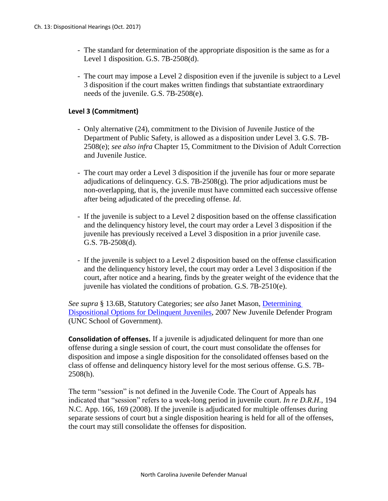- *-* The standard for determination of the appropriate disposition is the same as for a Level 1 disposition. G.S. 7B-2508(d).
- *-* The court may impose a Level 2 disposition even if the juvenile is subject to a Level 3 disposition if the court makes written findings that substantiate extraordinary needs of the juvenile. G.S. 7B-2508(e).

### **Level 3 (Commitment)**

- *-* Only alternative (24), commitment to the Division of Juvenile Justice of the Department of Public Safety, is allowed as a disposition under Level 3. G.S. 7B-2508(e); *see also infra* Chapter 15, Commitment to the Division of Adult Correction and Juvenile Justice.
- *-* The court may order a Level 3 disposition if the juvenile has four or more separate adjudications of delinquency. G.S.  $7B-2508(g)$ . The prior adjudications must be non-overlapping, that is, the juvenile must have committed each successive offense after being adjudicated of the preceding offense. *Id*.
- *-* If the juvenile is subject to a Level 2 disposition based on the offense classification and the delinquency history level, the court may order a Level 3 disposition if the juvenile has previously received a Level 3 disposition in a prior juvenile case. G.S. 7B-2508(d).
- If the juvenile is subject to a Level 2 disposition based on the offense classification and the delinquency history level, the court may order a Level 3 disposition if the court, after notice and a hearing, finds by the greater weight of the evidence that the juvenile has violated the conditions of probation. G.S. 7B-2510(e).

*See supra* § 13.6B, Statutory Categories; s*ee also* Janet Mason, [Determining](http://www.ncids.org/JuvenileDefender/Training%20Seminars/2007%20New%20Juvenile%20Defender%20Program/09%20Mason%20-%20dispositions%20navigating%20the%20chart%20pp2-8.pdf)  [Dispositional Options for Delinquent](http://www.ncids.org/JuvenileDefender/Training%20Seminars/2007%20New%20Juvenile%20Defender%20Program/09%20Mason%20-%20dispositions%20navigating%20the%20chart%20pp2-8.pdf) Juveniles, 2007 New Juvenile Defender Program (UNC School of Government).

**Consolidation of offenses.** If a juvenile is adjudicated delinquent for more than one offense during a single session of court, the court must consolidate the offenses for disposition and impose a single disposition for the consolidated offenses based on the class of offense and delinquency history level for the most serious offense. G.S. 7B-2508(h).

The term "session" is not defined in the Juvenile Code. The Court of Appeals has indicated that "session" refers to a week-long period in juvenile court. *In re D.R.H.*, 194 N.C. App. 166, 169 (2008). If the juvenile is adjudicated for multiple offenses during separate sessions of court but a single disposition hearing is held for all of the offenses, the court may still consolidate the offenses for disposition.